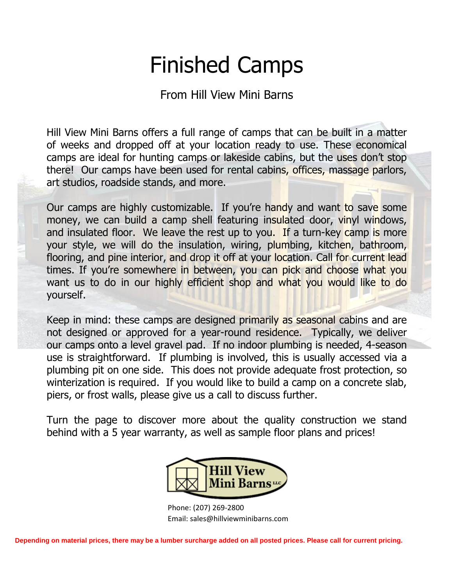# Finished Camps

From Hill View Mini Barns

Hill View Mini Barns offers a full range of camps that can be built in a matter of weeks and dropped off at your location ready to use. These economical camps are ideal for hunting camps or lakeside cabins, but the uses don't stop there! Our camps have been used for rental cabins, offices, massage parlors, art studios, roadside stands, and more.

Our camps are highly customizable. If you're handy and want to save some money, we can build a camp shell featuring insulated door, vinyl windows, and insulated floor. We leave the rest up to you. If a turn-key camp is more your style, we will do the insulation, wiring, plumbing, kitchen, bathroom, flooring, and pine interior, and drop it off at your location. Call for current lead times. If you're somewhere in between, you can pick and choose what you want us to do in our highly efficient shop and what you would like to do yourself.

Keep in mind: these camps are designed primarily as seasonal cabins and are not designed or approved for a year-round residence. Typically, we deliver our camps onto a level gravel pad. If no indoor plumbing is needed, 4-season use is straightforward. If plumbing is involved, this is usually accessed via a plumbing pit on one side. This does not provide adequate frost protection, so winterization is required. If you would like to build a camp on a concrete slab, piers, or frost walls, please give us a call to discuss further.

Turn the page to discover more about the quality construction we stand behind with a 5 year warranty, as well as sample floor plans and prices!



Phone: (207) 269-2800 Email: sales@hillviewminibarns.com

**Depending on material prices, there may be a lumber surcharge added on all posted prices. Please call for current pricing.**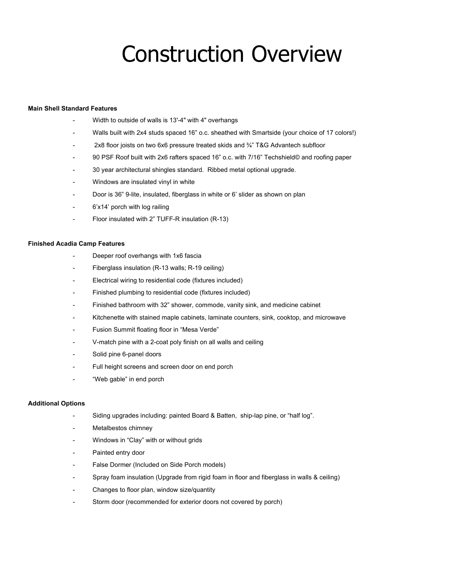## Construction Overview

### **Main Shell Standard Features**

- Width to outside of walls is 13'-4" with 4" overhangs
- Walls built with 2x4 studs spaced 16" o.c. sheathed with Smartside (your choice of 17 colors!)
- 2x8 floor joists on two 6x6 pressure treated skids and 3/4" T&G Advantech subfloor
- 90 PSF Roof built with 2x6 rafters spaced 16" o.c. with 7/16" Techshield© and roofing paper
- 30 year architectural shingles standard. Ribbed metal optional upgrade.
- Windows are insulated vinyl in white
- Door is 36" 9-lite, insulated, fiberglass in white or 6' slider as shown on plan
- 6'x14' porch with log railing
- Floor insulated with 2" TUFF-R insulation (R-13)

#### **Finished Acadia Camp Features**

- Deeper roof overhangs with 1x6 fascia
- Fiberglass insulation (R-13 walls; R-19 ceiling)
- Electrical wiring to residential code (fixtures included)
- Finished plumbing to residential code (fixtures included)
- Finished bathroom with 32" shower, commode, vanity sink, and medicine cabinet
- Kitchenette with stained maple cabinets, laminate counters, sink, cooktop, and microwave
- Fusion Summit floating floor in "Mesa Verde"
- V-match pine with a 2-coat poly finish on all walls and ceiling
- Solid pine 6-panel doors
- Full height screens and screen door on end porch
- "Web gable" in end porch

#### **Additional Options**

- Siding upgrades including: painted Board & Batten, ship-lap pine, or "half log".
- Metalbestos chimney
- Windows in "Clay" with or without grids
- Painted entry door
- False Dormer (Included on Side Porch models)
- Spray foam insulation (Upgrade from rigid foam in floor and fiberglass in walls & ceiling)
- Changes to floor plan, window size/quantity
- Storm door (recommended for exterior doors not covered by porch)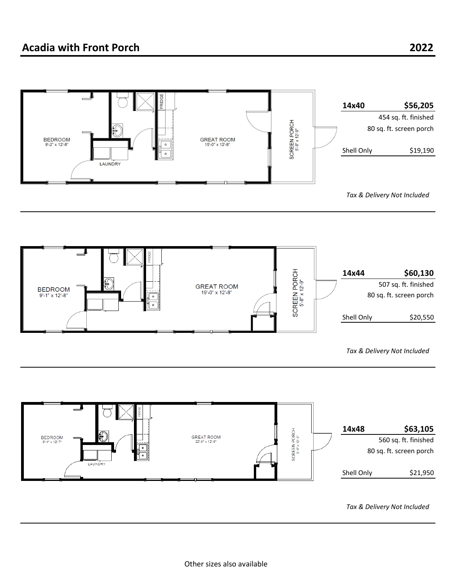



*Tax & Delivery Not Included*



*Tax & Delivery Not Included*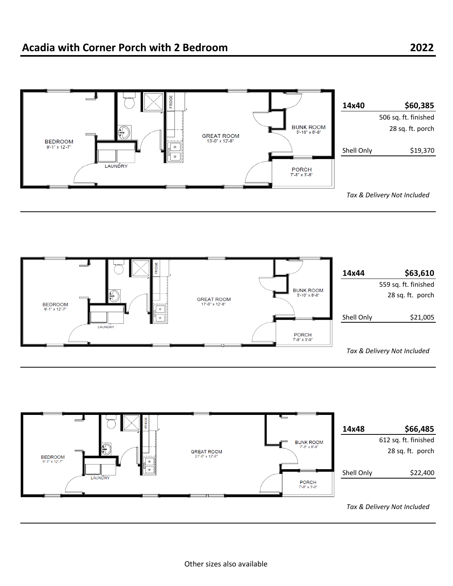



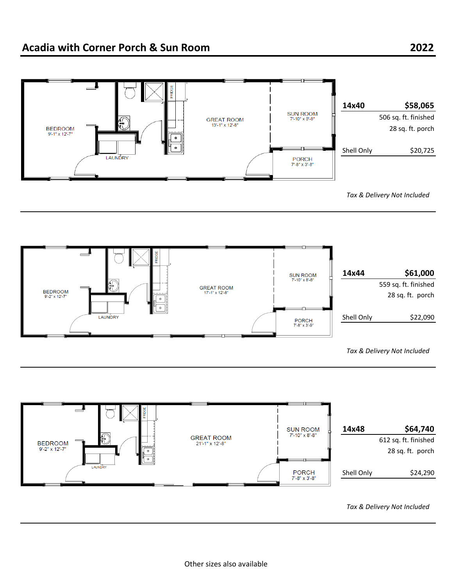





*Tax & Delivery Not Included*